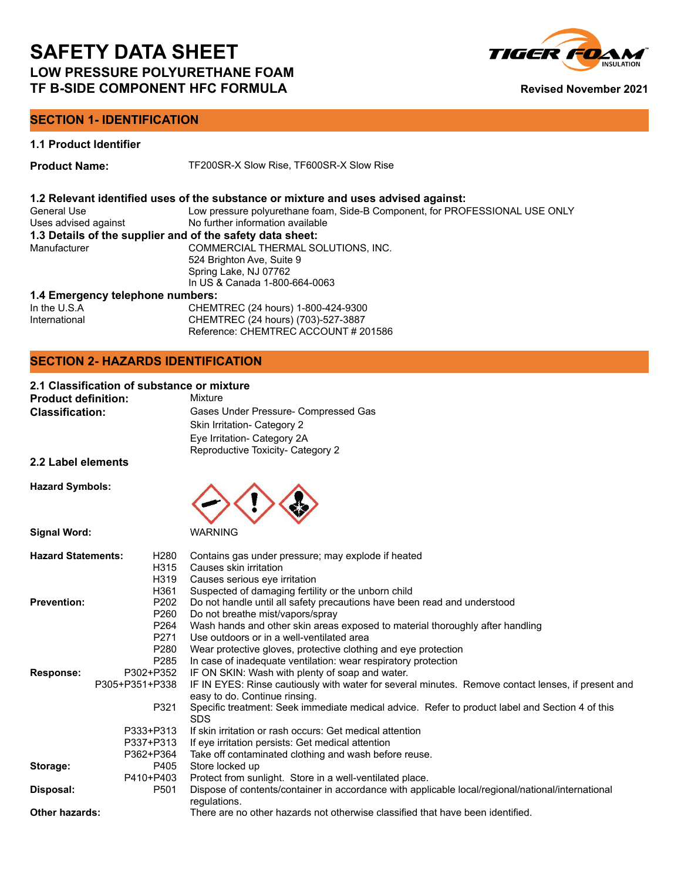

# **SECTION 1- IDENTIFICATION**

**1.1 Product Identifier**

**Product Name:** TF200SR-X Slow Rise, TF600SR-X Slow Rise

# **1.2 Relevant identified uses of the substance or mixture and uses advised against:**

| Low pressure polyurethane foam, Side-B Component, for PROFESSIONAL USE ONLY |
|-----------------------------------------------------------------------------|
| No further information available                                            |
| 1.3 Details of the supplier and of the safety data sheet:                   |
| COMMERCIAL THERMAL SOLUTIONS, INC.                                          |
| 524 Brighton Ave, Suite 9                                                   |
| Spring Lake, NJ 07762                                                       |
| In US & Canada 1-800-664-0063                                               |
|                                                                             |

### **1.4 Emergency telephone numbers:**

| In the $U.S.A$ | CHEMTREC (24 hours) 1-800-424-9300   |
|----------------|--------------------------------------|
| International  | CHEMTREC (24 hours) (703)-527-3887   |
|                | Reference: CHEMTREC ACCOUNT # 201586 |

# **SECTION 2- HAZARDS IDENTIFICATION**

# **2.1 Classification of substance or mixture**

| <b>Product definition:</b> | Mixture                              |
|----------------------------|--------------------------------------|
| <b>Classification:</b>     | Gases Under Pressure- Compressed Gas |
|                            | Skin Irritation- Category 2          |
|                            | Eye Irritation- Category 2A          |
|                            | Reproductive Toxicity- Category 2    |

**2.2 Label elements**

**Hazard Symbols:**



| <b>Hazard Statements:</b> | H280<br>H315   | Contains gas under pressure; may explode if heated<br>Causes skin irritation                                  |
|---------------------------|----------------|---------------------------------------------------------------------------------------------------------------|
|                           | H319           | Causes serious eye irritation                                                                                 |
|                           | H361           | Suspected of damaging fertility or the unborn child                                                           |
| <b>Prevention:</b>        | P202           | Do not handle until all safety precautions have been read and understood                                      |
|                           | P260           | Do not breathe mist/vapors/spray                                                                              |
|                           | P264           | Wash hands and other skin areas exposed to material thoroughly after handling                                 |
|                           | P271           | Use outdoors or in a well-ventilated area                                                                     |
|                           | P280           | Wear protective gloves, protective clothing and eye protection                                                |
|                           | P285           | In case of inadequate ventilation: wear respiratory protection                                                |
| Response:                 | P302+P352      | IF ON SKIN: Wash with plenty of soap and water.                                                               |
|                           | P305+P351+P338 | IF IN EYES: Rinse cautiously with water for several minutes. Remove contact lenses, if present and            |
|                           |                | easy to do. Continue rinsing.                                                                                 |
|                           | P321           | Specific treatment: Seek immediate medical advice. Refer to product label and Section 4 of this<br><b>SDS</b> |
|                           | P333+P313      | If skin irritation or rash occurs: Get medical attention                                                      |
|                           | P337+P313      | If eye irritation persists: Get medical attention                                                             |
|                           | P362+P364      | Take off contaminated clothing and wash before reuse.                                                         |
| Storage:                  | P405           | Store locked up                                                                                               |
|                           | P410+P403      | Protect from sunlight. Store in a well-ventilated place.                                                      |
| Disposal:                 | P501           | Dispose of contents/container in accordance with applicable local/regional/national/international             |
|                           |                | regulations.                                                                                                  |
| <b>Other hazards:</b>     |                | There are no other hazards not otherwise classified that have been identified.                                |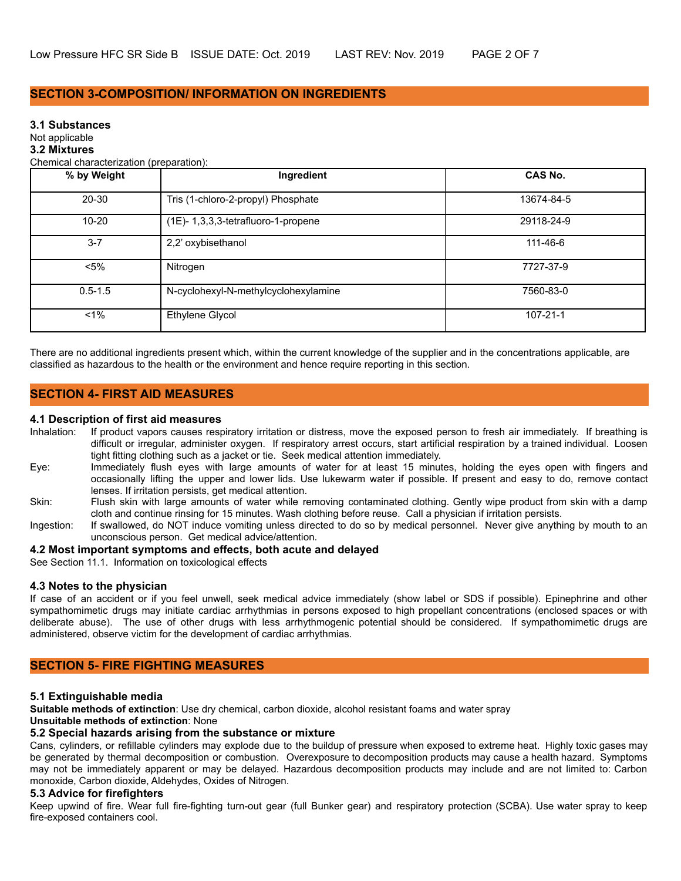# **SECTION 3-COMPOSITION/ INFORMATION ON INGREDIENTS**

#### **3.1 Substances**

#### Not applicable

#### **3.2 Mixtures**

Chemical characterization (preparation):

| % by Weight | Ingredient                           | <b>CAS No.</b> |
|-------------|--------------------------------------|----------------|
| $20 - 30$   | Tris (1-chloro-2-propyl) Phosphate   | 13674-84-5     |
| $10 - 20$   | (1E)-1,3,3,3-tetrafluoro-1-propene   | 29118-24-9     |
| $3 - 7$     | 2,2' oxybisethanol                   | 111-46-6       |
| $<$ 5%      | Nitrogen                             | 7727-37-9      |
| $0.5 - 1.5$ | N-cyclohexyl-N-methylcyclohexylamine | 7560-83-0      |
| $1\%$       | Ethylene Glycol                      | $107 - 21 - 1$ |

There are no additional ingredients present which, within the current knowledge of the supplier and in the concentrations applicable, are classified as hazardous to the health or the environment and hence require reporting in this section.

# **SECTION 4- FIRST AID MEASURES**

#### **4.1 Description of first aid measures**

- Inhalation: If product vapors causes respiratory irritation or distress, move the exposed person to fresh air immediately. If breathing is difficult or irregular, administer oxygen. If respiratory arrest occurs, start artificial respiration by a trained individual. Loosen tight fitting clothing such as a jacket or tie. Seek medical attention immediately.
- Eye: Immediately flush eyes with large amounts of water for at least 15 minutes, holding the eyes open with fingers and occasionally lifting the upper and lower lids. Use lukewarm water if possible. If present and easy to do, remove contact lenses. If irritation persists, get medical attention.
- Skin: Flush skin with large amounts of water while removing contaminated clothing. Gently wipe product from skin with a damp cloth and continue rinsing for 15 minutes. Wash clothing before reuse. Call a physician if irritation persists.
- Ingestion: If swallowed, do NOT induce vomiting unless directed to do so by medical personnel. Never give anything by mouth to an unconscious person. Get medical advice/attention.

#### **4.2 Most important symptoms and effects, both acute and delayed**

See Section 11.1. Information on toxicological effects

#### **4.3 Notes to the physician**

If case of an accident or if you feel unwell, seek medical advice immediately (show label or SDS if possible). Epinephrine and other sympathomimetic drugs may initiate cardiac arrhythmias in persons exposed to high propellant concentrations (enclosed spaces or with deliberate abuse). The use of other drugs with less arrhythmogenic potential should be considered. If sympathomimetic drugs are administered, observe victim for the development of cardiac arrhythmias.

### **SECTION 5- FIRE FIGHTING MEASURES**

#### **5.1 Extinguishable media**

**Suitable methods of extinction**: Use dry chemical, carbon dioxide, alcohol resistant foams and water spray

# **Unsuitable methods of extinction**: None

### **5.2 Special hazards arising from the substance or mixture**

Cans, cylinders, or refillable cylinders may explode due to the buildup of pressure when exposed to extreme heat. Highly toxic gases may be generated by thermal decomposition or combustion. Overexposure to decomposition products may cause a health hazard. Symptoms may not be immediately apparent or may be delayed. Hazardous decomposition products may include and are not limited to: Carbon monoxide, Carbon dioxide, Aldehydes, Oxides of Nitrogen.

#### **5.3 Advice for firefighters**

Keep upwind of fire. Wear full fire-fighting turn-out gear (full Bunker gear) and respiratory protection (SCBA). Use water spray to keep fire-exposed containers cool.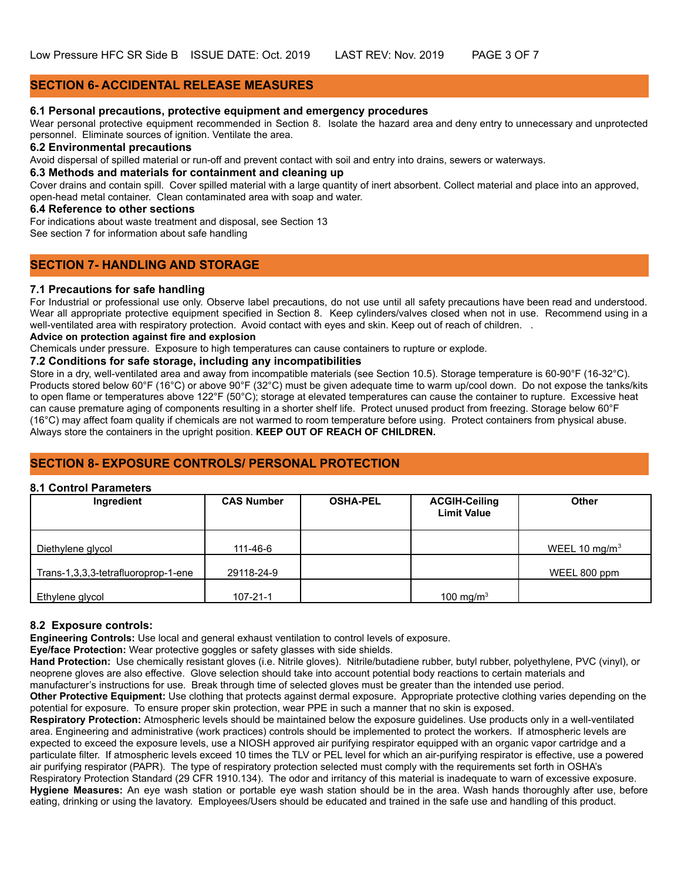# **SECTION 6- ACCIDENTAL RELEASE MEASURES**

### **6.1 Personal precautions, protective equipment and emergency procedures**

Wear personal protective equipment recommended in Section 8. Isolate the hazard area and deny entry to unnecessary and unprotected personnel. Eliminate sources of ignition. Ventilate the area.

# **6.2 Environmental precautions**

Avoid dispersal of spilled material or run-off and prevent contact with soil and entry into drains, sewers or waterways.

# **6.3 Methods and materials for containment and cleaning up**

Cover drains and contain spill. Cover spilled material with a large quantity of inert absorbent. Collect material and place into an approved, open-head metal container. Clean contaminated area with soap and water.

### **6.4 Reference to other sections**

For indications about waste treatment and disposal, see Section 13

See section 7 for information about safe handling

# **SECTION 7- HANDLING AND STORAGE**

### **7.1 Precautions for safe handling**

For Industrial or professional use only. Observe label precautions, do not use until all safety precautions have been read and understood. Wear all appropriate protective equipment specified in Section 8. Keep cylinders/valves closed when not in use. Recommend using in a well-ventilated area with respiratory protection. Avoid contact with eyes and skin. Keep out of reach of children. .

### **Advice on protection against fire and explosion**

Chemicals under pressure. Exposure to high temperatures can cause containers to rupture or explode.

# **7.2 Conditions for safe storage, including any incompatibilities**

Store in a dry, well-ventilated area and away from incompatible materials (see Section 10.5). Storage temperature is 60-90°F (16-32°C). Products stored below 60°F (16°C) or above 90°F (32°C) must be given adequate time to warm up/cool down. Do not expose the tanks/kits to open flame or temperatures above 122°F (50°C); storage at elevated temperatures can cause the container to rupture. Excessive heat can cause premature aging of components resulting in a shorter shelf life. Protect unused product from freezing. Storage below 60°F (16°C) may affect foam quality if chemicals are not warmed to room temperature before using. Protect containers from physical abuse. Always store the containers in the upright position. **KEEP OUT OF REACH OF CHILDREN.**

# **SECTION 8- EXPOSURE CONTROLS/ PERSONAL PROTECTION**

#### **8.1 Control Parameters**

| Ingredient                          | <b>CAS Number</b> | <b>OSHA-PEL</b> | <b>ACGIH-Ceiling</b><br><b>Limit Value</b> | <b>Other</b>              |
|-------------------------------------|-------------------|-----------------|--------------------------------------------|---------------------------|
| Diethylene glycol                   | 111-46-6          |                 |                                            | WEEL 10 mg/m <sup>3</sup> |
| Trans-1,3,3,3-tetrafluoroprop-1-ene | 29118-24-9        |                 |                                            | WEEL 800 ppm              |
| Ethylene glycol                     | $107 - 21 - 1$    |                 | 100 mg/m $3$                               |                           |

### **8.2 Exposure controls:**

**Engineering Controls:** Use local and general exhaust ventilation to control levels of exposure.

**Eye/face Protection:** Wear protective goggles or safety glasses with side shields.

**Hand Protection:** Use chemically resistant gloves (i.e. Nitrile gloves). Nitrile/butadiene rubber, butyl rubber, polyethylene, PVC (vinyl), or neoprene gloves are also effective. Glove selection should take into account potential body reactions to certain materials and manufacturer's instructions for use. Break through time of selected gloves must be greater than the intended use period.

**Other Protective Equipment:** Use clothing that protects against dermal exposure. Appropriate protective clothing varies depending on the potential for exposure. To ensure proper skin protection, wear PPE in such a manner that no skin is exposed.

**Respiratory Protection:** Atmospheric levels should be maintained below the exposure guidelines. Use products only in a well-ventilated area. Engineering and administrative (work practices) controls should be implemented to protect the workers. If atmospheric levels are expected to exceed the exposure levels, use a NIOSH approved air purifying respirator equipped with an organic vapor cartridge and a particulate filter. If atmospheric levels exceed 10 times the TLV or PEL level for which an air-purifying respirator is effective, use a powered air purifying respirator (PAPR). The type of respiratory protection selected must comply with the requirements set forth in OSHA's Respiratory Protection Standard (29 CFR 1910.134). The odor and irritancy of this material is inadequate to warn of excessive exposure. **Hygiene Measures:** An eye wash station or portable eye wash station should be in the area. Wash hands thoroughly after use, before eating, drinking or using the lavatory. Employees/Users should be educated and trained in the safe use and handling of this product.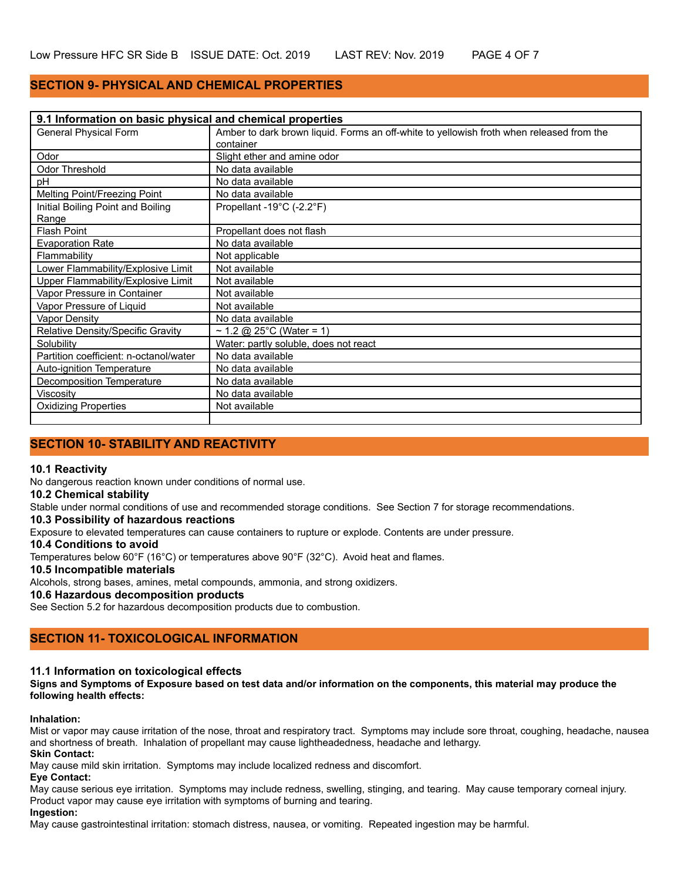# **SECTION 9- PHYSICAL AND CHEMICAL PROPERTIES**

| 9.1 Information on basic physical and chemical properties |                                                                                          |  |
|-----------------------------------------------------------|------------------------------------------------------------------------------------------|--|
| General Physical Form                                     | Amber to dark brown liquid. Forms an off-white to yellowish froth when released from the |  |
|                                                           | container                                                                                |  |
| Odor                                                      | Slight ether and amine odor                                                              |  |
| Odor Threshold                                            | No data available                                                                        |  |
| pH                                                        | No data available                                                                        |  |
| Melting Point/Freezing Point                              | No data available                                                                        |  |
| Initial Boiling Point and Boiling                         | Propellant -19°C (-2.2°F)                                                                |  |
| Range                                                     |                                                                                          |  |
| <b>Flash Point</b>                                        | Propellant does not flash                                                                |  |
| <b>Evaporation Rate</b>                                   | No data available                                                                        |  |
| Flammability                                              | Not applicable                                                                           |  |
| Lower Flammability/Explosive Limit                        | Not available                                                                            |  |
| Upper Flammability/Explosive Limit                        | Not available                                                                            |  |
| Vapor Pressure in Container                               | Not available                                                                            |  |
| Vapor Pressure of Liquid                                  | Not available                                                                            |  |
| Vapor Density                                             | No data available                                                                        |  |
| Relative Density/Specific Gravity                         | ~ 1.2 @ 25°C (Water = 1)                                                                 |  |
| Solubility                                                | Water: partly soluble, does not react                                                    |  |
| Partition coefficient: n-octanol/water                    | No data available                                                                        |  |
| Auto-ignition Temperature                                 | No data available                                                                        |  |
| Decomposition Temperature                                 | No data available                                                                        |  |
| Viscosity                                                 | No data available                                                                        |  |
| <b>Oxidizing Properties</b>                               | Not available                                                                            |  |
|                                                           |                                                                                          |  |

# **SECTION 10- STABILITY AND REACTIVITY**

#### **10.1 Reactivity**

No dangerous reaction known under conditions of normal use.

#### **10.2 Chemical stability**

Stable under normal conditions of use and recommended storage conditions. See Section 7 for storage recommendations.

### **10.3 Possibility of hazardous reactions**

Exposure to elevated temperatures can cause containers to rupture or explode. Contents are under pressure.

# **10.4 Conditions to avoid**

Temperatures below 60°F (16°C) or temperatures above 90°F (32°C). Avoid heat and flames.

### **10.5 Incompatible materials**

Alcohols, strong bases, amines, metal compounds, ammonia, and strong oxidizers.

# **10.6 Hazardous decomposition products**

See Section 5.2 for hazardous decomposition products due to combustion.

# **SECTION 11- TOXICOLOGICAL INFORMATION**

#### **11.1 Information on toxicological effects**

**Signs and Symptoms of Exposure based on test data and/or information on the components, this material may produce the following health effects:**

#### **Inhalation:**

Mist or vapor may cause irritation of the nose, throat and respiratory tract. Symptoms may include sore throat, coughing, headache, nausea and shortness of breath. Inhalation of propellant may cause lightheadedness, headache and lethargy.

### **Skin Contact:**

May cause mild skin irritation. Symptoms may include localized redness and discomfort.

#### **Eye Contact:**

May cause serious eye irritation. Symptoms may include redness, swelling, stinging, and tearing. May cause temporary corneal injury. Product vapor may cause eye irritation with symptoms of burning and tearing.

#### **Ingestion:**

May cause gastrointestinal irritation: stomach distress, nausea, or vomiting. Repeated ingestion may be harmful.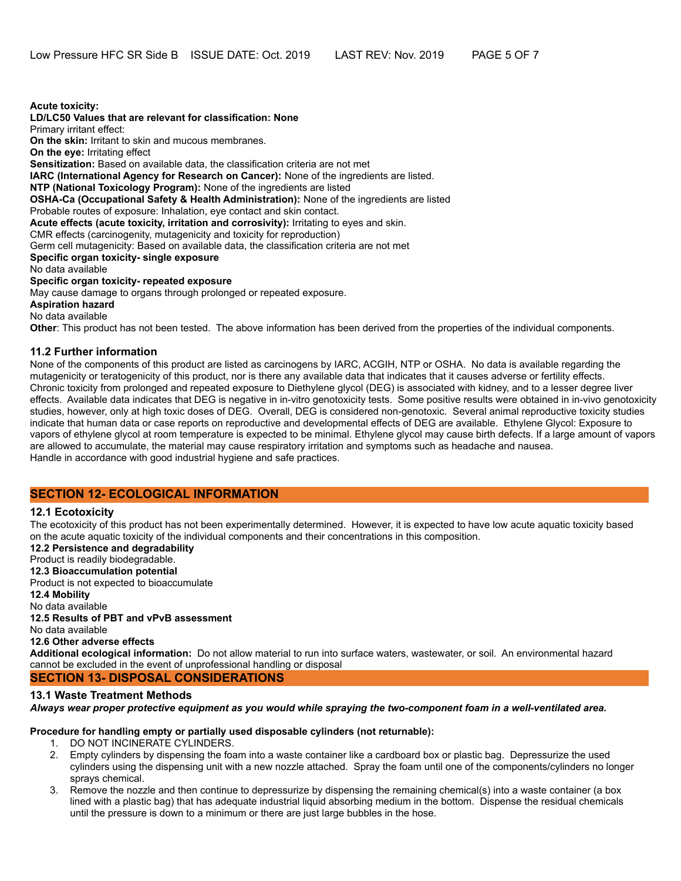**Acute toxicity: LD/LC50 Values that are relevant for classification: None** Primary irritant effect: **On the skin:** Irritant to skin and mucous membranes. **On the eye:** Irritating effect **Sensitization:** Based on available data, the classification criteria are not met **IARC (International Agency for Research on Cancer):** None of the ingredients are listed. **NTP (National Toxicology Program):** None of the ingredients are listed **OSHA-Ca (Occupational Safety & Health Administration):** None of the ingredients are listed Probable routes of exposure: Inhalation, eye contact and skin contact. **Acute effects (acute toxicity, irritation and corrosivity):** Irritating to eyes and skin. CMR effects (carcinogenity, mutagenicity and toxicity for reproduction) Germ cell mutagenicity: Based on available data, the classification criteria are not met **Specific organ toxicity- single exposure** No data available **Specific organ toxicity- repeated exposure** May cause damage to organs through prolonged or repeated exposure. **Aspiration hazard** No data available **Other**: This product has not been tested. The above information has been derived from the properties of the individual components.

### **11.2 Further information**

None of the components of this product are listed as carcinogens by IARC, ACGIH, NTP or OSHA. No data is available regarding the mutagenicity or teratogenicity of this product, nor is there any available data that indicates that it causes adverse or fertility effects. Chronic toxicity from prolonged and repeated exposure to Diethylene glycol (DEG) is associated with kidney, and to a lesser degree liver effects. Available data indicates that DEG is negative in in-vitro genotoxicity tests. Some positive results were obtained in in-vivo genotoxicity studies, however, only at high toxic doses of DEG. Overall, DEG is considered non-genotoxic. Several animal reproductive toxicity studies indicate that human data or case reports on reproductive and developmental effects of DEG are available. Ethylene Glycol: Exposure to vapors of ethylene glycol at room temperature is expected to be minimal. Ethylene glycol may cause birth defects. If a large amount of vapors are allowed to accumulate, the material may cause respiratory irritation and symptoms such as headache and nausea. Handle in accordance with good industrial hygiene and safe practices.

### **SECTION 12- ECOLOGICAL INFORMATION**

#### **12.1 Ecotoxicity**

The ecotoxicity of this product has not been experimentally determined. However, it is expected to have low acute aquatic toxicity based on the acute aquatic toxicity of the individual components and their concentrations in this composition.

**12.2 Persistence and degradability**

# Product is readily biodegradable.

**12.3 Bioaccumulation potential** Product is not expected to bioaccumulate

**12.4 Mobility**

No data available

**12.5 Results of PBT and vPvB assessment**

No data available

**12.6 Other adverse effects**

**Additional ecological information:** Do not allow material to run into surface waters, wastewater, or soil. An environmental hazard cannot be excluded in the event of unprofessional handling or disposal

# **SECTION 13- DISPOSAL CONSIDERATIONS**

# **13.1 Waste Treatment Methods**

*Always wear proper protective equipment as you would while spraying the two-component foam in a well-ventilated area.*

# **Procedure for handling empty or partially used disposable cylinders (not returnable):**

- 1. DO NOT INCINERATE CYLINDERS.
- 2. Empty cylinders by dispensing the foam into a waste container like a cardboard box or plastic bag. Depressurize the used cylinders using the dispensing unit with a new nozzle attached. Spray the foam until one of the components/cylinders no longer sprays chemical.
- Remove the nozzle and then continue to depressurize by dispensing the remaining chemical(s) into a waste container (a box lined with a plastic bag) that has adequate industrial liquid absorbing medium in the bottom. Dispense the residual chemicals until the pressure is down to a minimum or there are just large bubbles in the hose.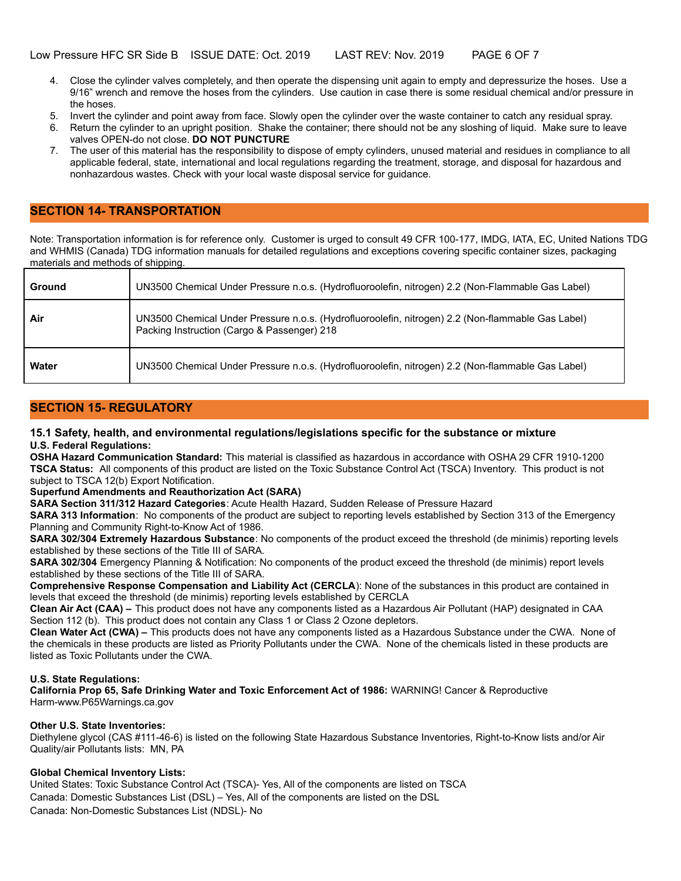- 4. Close the cylinder valves completely, and then operate the dispensing unit again to empty and depressurize the hoses. Use a 9/16" wrench and remove the hoses from the cylinders. Use caution in case there is some residual chemical and/or pressure in the hoses.
- 5. Invert the cylinder and point away from face. Slowly open the cylinder over the waste container to catch any residual spray.
- 6. Return the cylinder to an upright position. Shake the container; there should not be any sloshing of liquid. Make sure to leave valves OPEN-do not close. **DO NOT PUNCTURE**
- 7. The user of this material has the responsibility to dispose of empty cylinders, unused material and residues in compliance to all applicable federal, state, international and local regulations regarding the treatment, storage, and disposal for hazardous and nonhazardous wastes. Check with your local waste disposal service for guidance.

# **SECTION 14- TRANSPORTATION**

Note: Transportation information is for reference only. Customer is urged to consult 49 CFR 100-177, IMDG, IATA, EC, United Nations TDG and WHMIS (Canada) TDG information manuals for detailed regulations and exceptions covering specific container sizes, packaging materials and methods of shipping.

| Ground       | UN3500 Chemical Under Pressure n.o.s. (Hydrofluoroolefin, nitrogen) 2.2 (Non-Flammable Gas Label)                                                |
|--------------|--------------------------------------------------------------------------------------------------------------------------------------------------|
| Air          | UN3500 Chemical Under Pressure n.o.s. (Hydrofluoroolefin, nitrogen) 2.2 (Non-flammable Gas Label)<br>Packing Instruction (Cargo & Passenger) 218 |
| <b>Water</b> | UN3500 Chemical Under Pressure n.o.s. (Hydrofluoroolefin, nitrogen) 2.2 (Non-flammable Gas Label)                                                |

# **SECTION 15- REGULATORY**

#### **15.1 Safety, health, and environmental regulations/legislations specific for the substance or mixture U.S. Federal Regulations:**

**OSHA Hazard Communication Standard:** This material is classified as hazardous in accordance with OSHA 29 CFR 1910-1200 **TSCA Status:** All components of this product are listed on the Toxic Substance Control Act (TSCA) Inventory. This product is not subject to TSCA 12(b) Export Notification.

### **Superfund Amendments and Reauthorization Act (SARA)**

**SARA Section 311/312 Hazard Categories**: Acute Health Hazard, Sudden Release of Pressure Hazard

**SARA 313 Information**: No components of the product are subject to reporting levels established by Section 313 of the Emergency Planning and Community Right-to-Know Act of 1986.

**SARA 302/304 Extremely Hazardous Substance**: No components of the product exceed the threshold (de minimis) reporting levels established by these sections of the Title III of SARA.

**SARA 302/304** Emergency Planning & Notification: No components of the product exceed the threshold (de minimis) report levels established by these sections of the Title III of SARA.

**Comprehensive Response Compensation and Liability Act (CERCLA**): None of the substances in this product are contained in levels that exceed the threshold (de minimis) reporting levels established by CERCLA

**Clean Air Act (CAA) –** This product does not have any components listed as a Hazardous Air Pollutant (HAP) designated in CAA Section 112 (b). This product does not contain any Class 1 or Class 2 Ozone depletors.

**Clean Water Act (CWA) –** This products does not have any components listed as a Hazardous Substance under the CWA. None of the chemicals in these products are listed as Priority Pollutants under the CWA. None of the chemicals listed in these products are listed as Toxic Pollutants under the CWA.

#### **U.S. State Regulations:**

**California Prop 65, Safe Drinking Water and Toxic Enforcement Act of 1986:** WARNING! Cancer & Reproductive Harm-www.P65Warnings.ca.gov

#### **Other U.S. State Inventories:**

Diethylene glycol (CAS #111-46-6) is listed on the following State Hazardous Substance Inventories, Right-to-Know lists and/or Air Quality/air Pollutants lists: MN, PA

### **Global Chemical Inventory Lists:**

United States: Toxic Substance Control Act (TSCA)- Yes, All of the components are listed on TSCA Canada: Domestic Substances List (DSL) – Yes, All of the components are listed on the DSL Canada: Non-Domestic Substances List (NDSL)- No